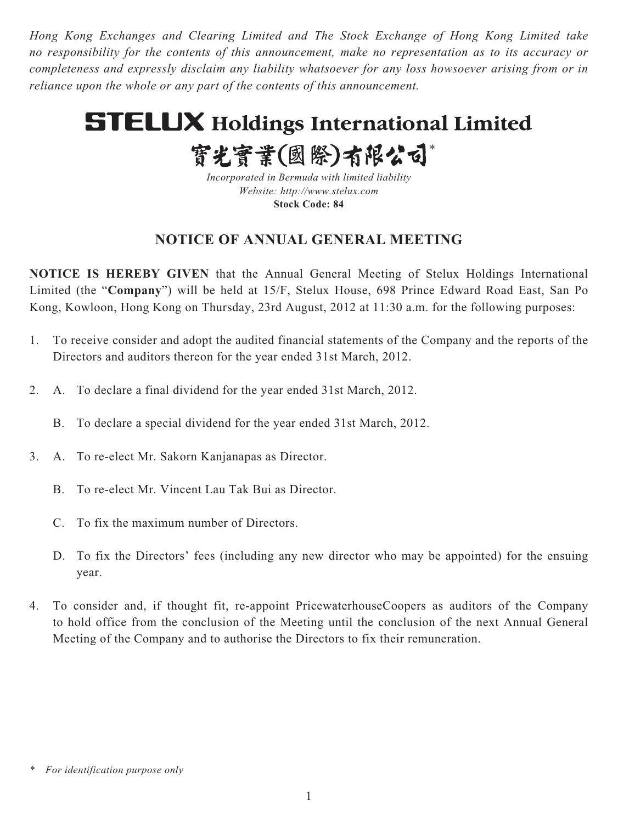*Hong Kong Exchanges and Clearing Limited and The Stock Exchange of Hong Kong Limited take no responsibility for the contents of this announcement, make no representation as to its accuracy or completeness and expressly disclaim any liability whatsoever for any loss howsoever arising from or in reliance upon the whole or any part of the contents of this announcement.*

# **STELUX Holdings International Limited**

實光實業(國際)有限公司\*

*Incorporated in Bermuda with limited liability Website: http://www.stelux.com* **Stock Code: 84**

# **NOTICE OF ANNUAL GENERAL MEETING**

**NOTICE IS HEREBY GIVEN** that the Annual General Meeting of Stelux Holdings International Limited (the "**Company**") will be held at 15/F, Stelux House, 698 Prince Edward Road East, San Po Kong, Kowloon, Hong Kong on Thursday, 23rd August, 2012 at 11:30 a.m. for the following purposes:

- 1. To receive consider and adopt the audited financial statements of the Company and the reports of the Directors and auditors thereon for the year ended 31st March, 2012.
- 2. A. To declare a final dividend for the year ended 31st March, 2012.
	- B. To declare a special dividend for the year ended 31st March, 2012.
- 3. A. To re-elect Mr. Sakorn Kanjanapas as Director.
	- B. To re-elect Mr. Vincent Lau Tak Bui as Director.
	- C. To fix the maximum number of Directors.
	- D. To fix the Directors' fees (including any new director who may be appointed) for the ensuing year.
- 4. To consider and, if thought fit, re-appoint PricewaterhouseCoopers as auditors of the Company to hold office from the conclusion of the Meeting until the conclusion of the next Annual General Meeting of the Company and to authorise the Directors to fix their remuneration.

*<sup>\*</sup> For identification purpose only*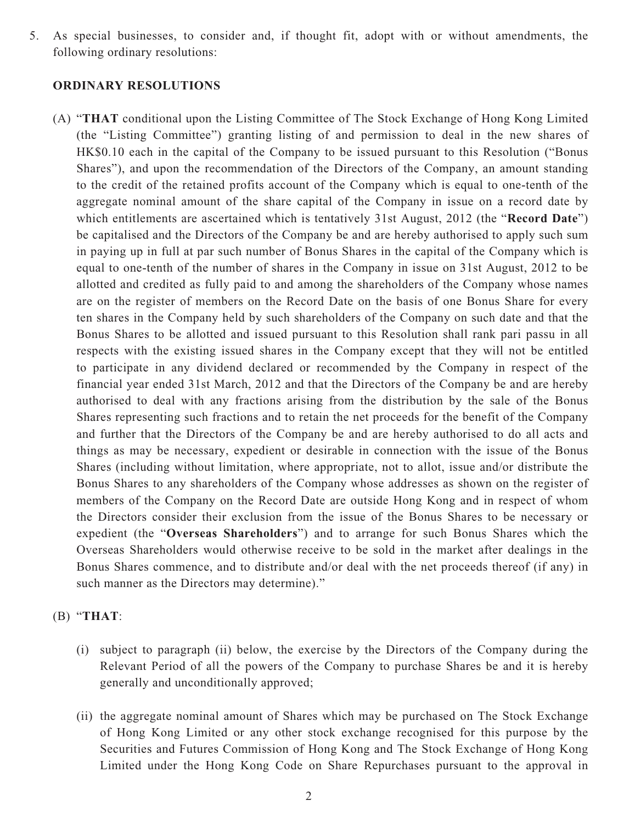5. As special businesses, to consider and, if thought fit, adopt with or without amendments, the following ordinary resolutions:

### **ORDINARY RESOLUTIONS**

(A) "**THAT** conditional upon the Listing Committee of The Stock Exchange of Hong Kong Limited (the "Listing Committee") granting listing of and permission to deal in the new shares of HK\$0.10 each in the capital of the Company to be issued pursuant to this Resolution ("Bonus Shares"), and upon the recommendation of the Directors of the Company, an amount standing to the credit of the retained profits account of the Company which is equal to one-tenth of the aggregate nominal amount of the share capital of the Company in issue on a record date by which entitlements are ascertained which is tentatively 31st August, 2012 (the "**Record Date**") be capitalised and the Directors of the Company be and are hereby authorised to apply such sum in paying up in full at par such number of Bonus Shares in the capital of the Company which is equal to one-tenth of the number of shares in the Company in issue on 31st August, 2012 to be allotted and credited as fully paid to and among the shareholders of the Company whose names are on the register of members on the Record Date on the basis of one Bonus Share for every ten shares in the Company held by such shareholders of the Company on such date and that the Bonus Shares to be allotted and issued pursuant to this Resolution shall rank pari passu in all respects with the existing issued shares in the Company except that they will not be entitled to participate in any dividend declared or recommended by the Company in respect of the financial year ended 31st March, 2012 and that the Directors of the Company be and are hereby authorised to deal with any fractions arising from the distribution by the sale of the Bonus Shares representing such fractions and to retain the net proceeds for the benefit of the Company and further that the Directors of the Company be and are hereby authorised to do all acts and things as may be necessary, expedient or desirable in connection with the issue of the Bonus Shares (including without limitation, where appropriate, not to allot, issue and/or distribute the Bonus Shares to any shareholders of the Company whose addresses as shown on the register of members of the Company on the Record Date are outside Hong Kong and in respect of whom the Directors consider their exclusion from the issue of the Bonus Shares to be necessary or expedient (the "**Overseas Shareholders**") and to arrange for such Bonus Shares which the Overseas Shareholders would otherwise receive to be sold in the market after dealings in the Bonus Shares commence, and to distribute and/or deal with the net proceeds thereof (if any) in such manner as the Directors may determine)."

## (B) "**THAT**:

- (i) subject to paragraph (ii) below, the exercise by the Directors of the Company during the Relevant Period of all the powers of the Company to purchase Shares be and it is hereby generally and unconditionally approved;
- (ii) the aggregate nominal amount of Shares which may be purchased on The Stock Exchange of Hong Kong Limited or any other stock exchange recognised for this purpose by the Securities and Futures Commission of Hong Kong and The Stock Exchange of Hong Kong Limited under the Hong Kong Code on Share Repurchases pursuant to the approval in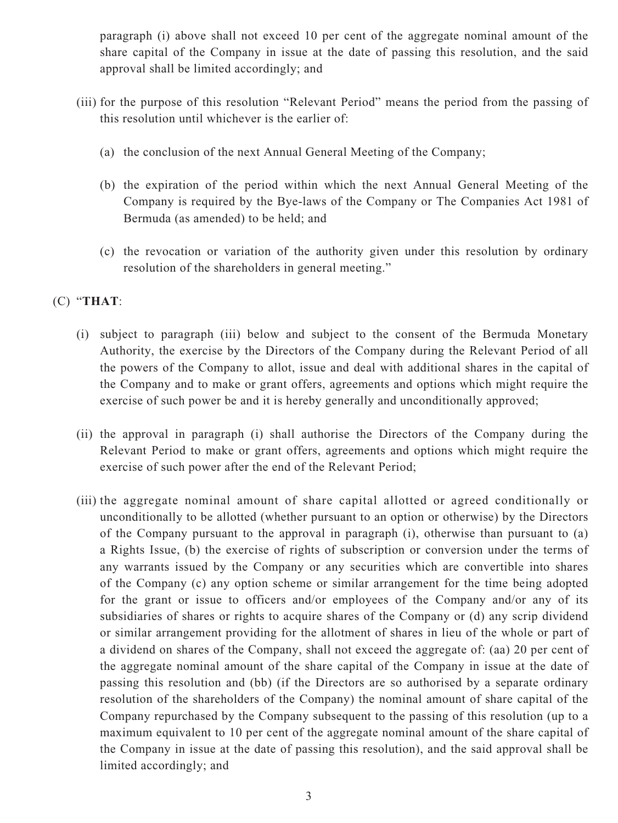paragraph (i) above shall not exceed 10 per cent of the aggregate nominal amount of the share capital of the Company in issue at the date of passing this resolution, and the said approval shall be limited accordingly; and

- (iii) for the purpose of this resolution "Relevant Period" means the period from the passing of this resolution until whichever is the earlier of:
	- (a) the conclusion of the next Annual General Meeting of the Company;
	- (b) the expiration of the period within which the next Annual General Meeting of the Company is required by the Bye-laws of the Company or The Companies Act 1981 of Bermuda (as amended) to be held; and
	- (c) the revocation or variation of the authority given under this resolution by ordinary resolution of the shareholders in general meeting."

# (C) "**THAT**:

- (i) subject to paragraph (iii) below and subject to the consent of the Bermuda Monetary Authority, the exercise by the Directors of the Company during the Relevant Period of all the powers of the Company to allot, issue and deal with additional shares in the capital of the Company and to make or grant offers, agreements and options which might require the exercise of such power be and it is hereby generally and unconditionally approved;
- (ii) the approval in paragraph (i) shall authorise the Directors of the Company during the Relevant Period to make or grant offers, agreements and options which might require the exercise of such power after the end of the Relevant Period;
- (iii) the aggregate nominal amount of share capital allotted or agreed conditionally or unconditionally to be allotted (whether pursuant to an option or otherwise) by the Directors of the Company pursuant to the approval in paragraph (i), otherwise than pursuant to (a) a Rights Issue, (b) the exercise of rights of subscription or conversion under the terms of any warrants issued by the Company or any securities which are convertible into shares of the Company (c) any option scheme or similar arrangement for the time being adopted for the grant or issue to officers and/or employees of the Company and/or any of its subsidiaries of shares or rights to acquire shares of the Company or (d) any scrip dividend or similar arrangement providing for the allotment of shares in lieu of the whole or part of a dividend on shares of the Company, shall not exceed the aggregate of: (aa) 20 per cent of the aggregate nominal amount of the share capital of the Company in issue at the date of passing this resolution and (bb) (if the Directors are so authorised by a separate ordinary resolution of the shareholders of the Company) the nominal amount of share capital of the Company repurchased by the Company subsequent to the passing of this resolution (up to a maximum equivalent to 10 per cent of the aggregate nominal amount of the share capital of the Company in issue at the date of passing this resolution), and the said approval shall be limited accordingly; and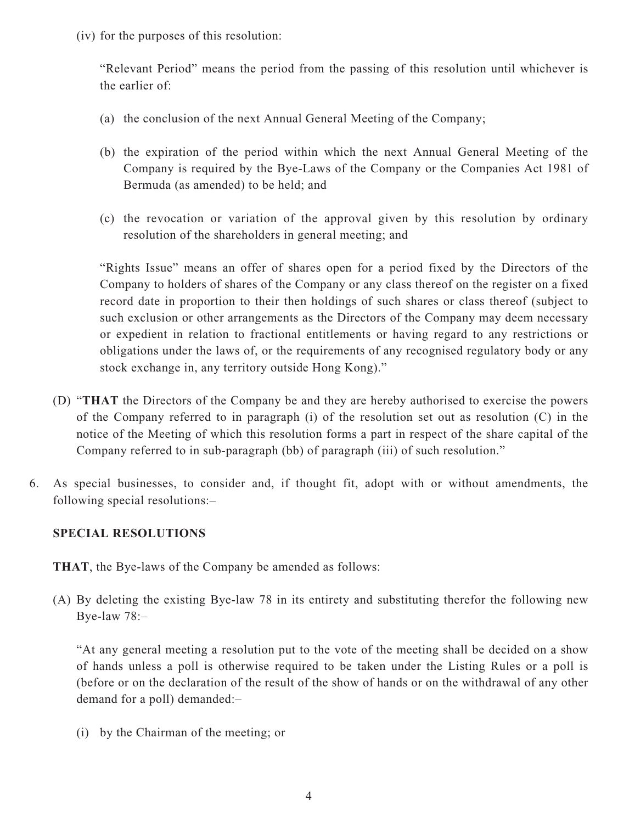(iv) for the purposes of this resolution:

"Relevant Period" means the period from the passing of this resolution until whichever is the earlier of:

- (a) the conclusion of the next Annual General Meeting of the Company;
- (b) the expiration of the period within which the next Annual General Meeting of the Company is required by the Bye-Laws of the Company or the Companies Act 1981 of Bermuda (as amended) to be held; and
- (c) the revocation or variation of the approval given by this resolution by ordinary resolution of the shareholders in general meeting; and

"Rights Issue" means an offer of shares open for a period fixed by the Directors of the Company to holders of shares of the Company or any class thereof on the register on a fixed record date in proportion to their then holdings of such shares or class thereof (subject to such exclusion or other arrangements as the Directors of the Company may deem necessary or expedient in relation to fractional entitlements or having regard to any restrictions or obligations under the laws of, or the requirements of any recognised regulatory body or any stock exchange in, any territory outside Hong Kong)."

- (D) "**THAT** the Directors of the Company be and they are hereby authorised to exercise the powers of the Company referred to in paragraph (i) of the resolution set out as resolution (C) in the notice of the Meeting of which this resolution forms a part in respect of the share capital of the Company referred to in sub-paragraph (bb) of paragraph (iii) of such resolution."
- 6. As special businesses, to consider and, if thought fit, adopt with or without amendments, the following special resolutions:–

# **SPECIAL RESOLUTIONS**

**THAT**, the Bye-laws of the Company be amended as follows:

(A) By deleting the existing Bye-law 78 in its entirety and substituting therefor the following new Bye-law 78:–

"At any general meeting a resolution put to the vote of the meeting shall be decided on a show of hands unless a poll is otherwise required to be taken under the Listing Rules or a poll is (before or on the declaration of the result of the show of hands or on the withdrawal of any other demand for a poll) demanded:–

(i) by the Chairman of the meeting; or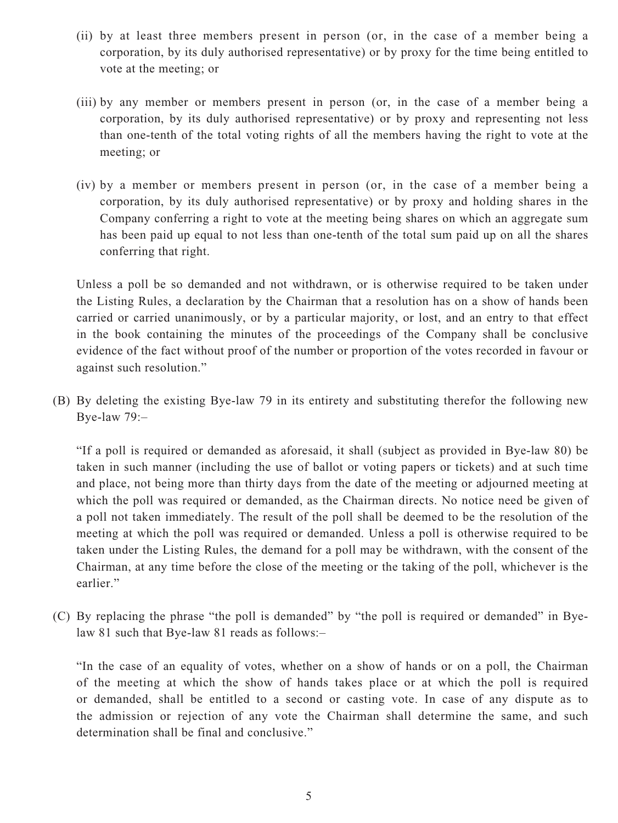- (ii) by at least three members present in person (or, in the case of a member being a corporation, by its duly authorised representative) or by proxy for the time being entitled to vote at the meeting; or
- (iii) by any member or members present in person (or, in the case of a member being a corporation, by its duly authorised representative) or by proxy and representing not less than one-tenth of the total voting rights of all the members having the right to vote at the meeting; or
- (iv) by a member or members present in person (or, in the case of a member being a corporation, by its duly authorised representative) or by proxy and holding shares in the Company conferring a right to vote at the meeting being shares on which an aggregate sum has been paid up equal to not less than one-tenth of the total sum paid up on all the shares conferring that right.

Unless a poll be so demanded and not withdrawn, or is otherwise required to be taken under the Listing Rules, a declaration by the Chairman that a resolution has on a show of hands been carried or carried unanimously, or by a particular majority, or lost, and an entry to that effect in the book containing the minutes of the proceedings of the Company shall be conclusive evidence of the fact without proof of the number or proportion of the votes recorded in favour or against such resolution."

(B) By deleting the existing Bye-law 79 in its entirety and substituting therefor the following new Bye-law 79:–

"If a poll is required or demanded as aforesaid, it shall (subject as provided in Bye-law 80) be taken in such manner (including the use of ballot or voting papers or tickets) and at such time and place, not being more than thirty days from the date of the meeting or adjourned meeting at which the poll was required or demanded, as the Chairman directs. No notice need be given of a poll not taken immediately. The result of the poll shall be deemed to be the resolution of the meeting at which the poll was required or demanded. Unless a poll is otherwise required to be taken under the Listing Rules, the demand for a poll may be withdrawn, with the consent of the Chairman, at any time before the close of the meeting or the taking of the poll, whichever is the earlier."

(C) By replacing the phrase "the poll is demanded" by "the poll is required or demanded" in Byelaw 81 such that Bye-law 81 reads as follows:–

"In the case of an equality of votes, whether on a show of hands or on a poll, the Chairman of the meeting at which the show of hands takes place or at which the poll is required or demanded, shall be entitled to a second or casting vote. In case of any dispute as to the admission or rejection of any vote the Chairman shall determine the same, and such determination shall be final and conclusive."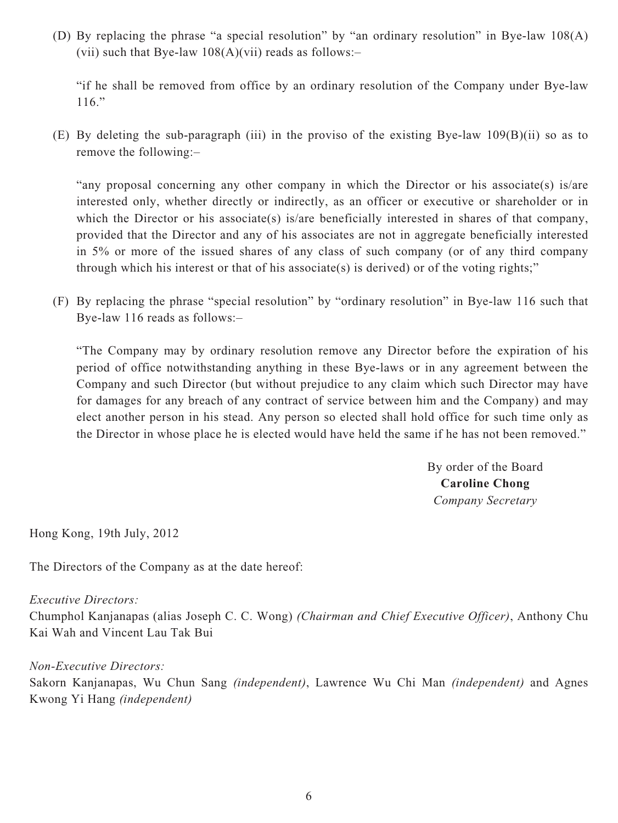(D) By replacing the phrase "a special resolution" by "an ordinary resolution" in Bye-law 108(A) (vii) such that Bye-law  $108(A)(vii)$  reads as follows:-

"if he shall be removed from office by an ordinary resolution of the Company under Bye-law 116."

(E) By deleting the sub-paragraph (iii) in the proviso of the existing Bye-law 109(B)(ii) so as to remove the following:–

"any proposal concerning any other company in which the Director or his associate(s) is/are interested only, whether directly or indirectly, as an officer or executive or shareholder or in which the Director or his associate(s) is/are beneficially interested in shares of that company, provided that the Director and any of his associates are not in aggregate beneficially interested in 5% or more of the issued shares of any class of such company (or of any third company through which his interest or that of his associate(s) is derived) or of the voting rights;"

(F) By replacing the phrase "special resolution" by "ordinary resolution" in Bye-law 116 such that Bye-law 116 reads as follows:–

"The Company may by ordinary resolution remove any Director before the expiration of his period of office notwithstanding anything in these Bye-laws or in any agreement between the Company and such Director (but without prejudice to any claim which such Director may have for damages for any breach of any contract of service between him and the Company) and may elect another person in his stead. Any person so elected shall hold office for such time only as the Director in whose place he is elected would have held the same if he has not been removed."

> By order of the Board **Caroline Chong** *Company Secretary*

Hong Kong, 19th July, 2012

The Directors of the Company as at the date hereof:

### *Executive Directors:*

Chumphol Kanjanapas (alias Joseph C. C. Wong) *(Chairman and Chief Executive Officer)*, Anthony Chu Kai Wah and Vincent Lau Tak Bui

### *Non-Executive Directors:*

Sakorn Kanjanapas, Wu Chun Sang *(independent)*, Lawrence Wu Chi Man *(independent)* and Agnes Kwong Yi Hang *(independent)*